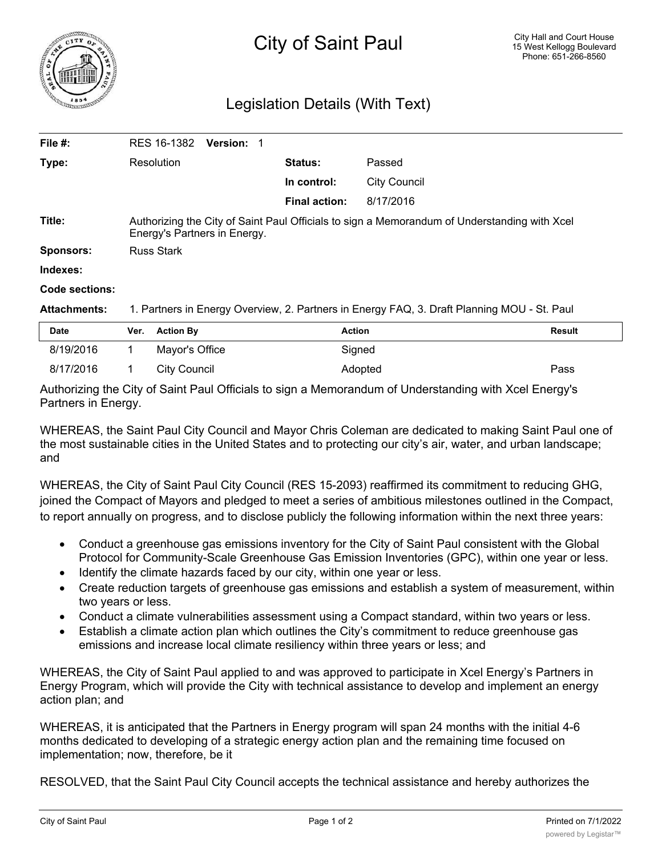## Legislation Details (With Text)

| File #:             | RES 16-1382<br><b>Version:</b>                                                                                               |                      |                     |  |  |
|---------------------|------------------------------------------------------------------------------------------------------------------------------|----------------------|---------------------|--|--|
| Type:               | Resolution                                                                                                                   | Status:              | Passed              |  |  |
|                     |                                                                                                                              | In control:          | <b>City Council</b> |  |  |
|                     |                                                                                                                              | <b>Final action:</b> | 8/17/2016           |  |  |
| Title:              | Authorizing the City of Saint Paul Officials to sign a Memorandum of Understanding with Xcel<br>Energy's Partners in Energy. |                      |                     |  |  |
| <b>Sponsors:</b>    | <b>Russ Stark</b>                                                                                                            |                      |                     |  |  |
| Indexes:            |                                                                                                                              |                      |                     |  |  |
| Code sections:      |                                                                                                                              |                      |                     |  |  |
| <b>Attachments:</b> | 1. Partners in Energy Overview, 2. Partners in Energy FAQ, 3. Draft Planning MOU - St. Paul                                  |                      |                     |  |  |

| <b>Date</b> | Ver. | <b>Action By</b> | Action  | <b>Result</b> |
|-------------|------|------------------|---------|---------------|
| 8/19/2016   |      | Mayor's Office   | Signed  |               |
| 8/17/2016   |      | City Council     | Adopted | Pass          |

Authorizing the City of Saint Paul Officials to sign a Memorandum of Understanding with Xcel Energy's Partners in Energy.

WHEREAS, the Saint Paul City Council and Mayor Chris Coleman are dedicated to making Saint Paul one of the most sustainable cities in the United States and to protecting our city's air, water, and urban landscape; and

WHEREAS, the City of Saint Paul City Council (RES 15-2093) reaffirmed its commitment to reducing GHG, joined the Compact of Mayors and pledged to meet a series of ambitious milestones outlined in the Compact, to report annually on progress, and to disclose publicly the following information within the next three years:

- · Conduct a greenhouse gas emissions inventory for the City of Saint Paul consistent with the Global Protocol for Community-Scale Greenhouse Gas Emission Inventories (GPC), within one year or less.
- Identify the climate hazards faced by our city, within one year or less.
- · Create reduction targets of greenhouse gas emissions and establish a system of measurement, within two years or less.
- · Conduct a climate vulnerabilities assessment using a Compact standard, within two years or less.
- · Establish a climate action plan which outlines the City's commitment to reduce greenhouse gas emissions and increase local climate resiliency within three years or less; and

WHEREAS, the City of Saint Paul applied to and was approved to participate in Xcel Energy's Partners in Energy Program, which will provide the City with technical assistance to develop and implement an energy action plan; and

WHEREAS, it is anticipated that the Partners in Energy program will span 24 months with the initial 4-6 months dedicated to developing of a strategic energy action plan and the remaining time focused on implementation; now, therefore, be it

RESOLVED, that the Saint Paul City Council accepts the technical assistance and hereby authorizes the